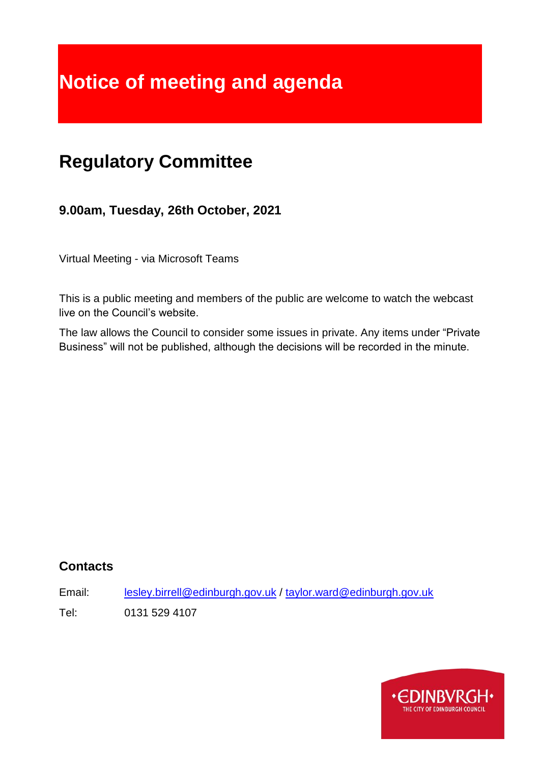# **Notice of meeting and agenda**

# **Regulatory Committee**

**9.00am, Tuesday, 26th October, 2021**

Virtual Meeting - via Microsoft Teams

This is a public meeting and members of the public are welcome to watch the webcast live on the Council's website.

The law allows the Council to consider some issues in private. Any items under "Private Business" will not be published, although the decisions will be recorded in the minute.

# **Contacts**

Email: [lesley.birrell@edinburgh.gov.uk](mailto:lesley.birrell@edinburgh.gov.uk) / [taylor.ward@edinburgh.gov.uk](mailto:taylor.ward@edinburgh.gov.uk)

Tel: 0131 529 4107

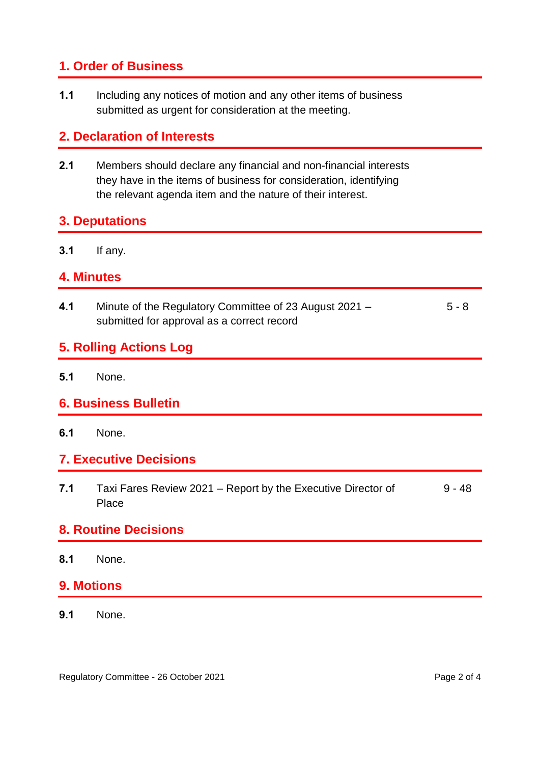# **1. Order of Business**

**1.1** Including any notices of motion and any other items of business submitted as urgent for consideration at the meeting.

# **2. Declaration of Interests**

**2.1** Members should declare any financial and non-financial interests they have in the items of business for consideration, identifying the relevant agenda item and the nature of their interest.

#### **3. Deputations**

**3.1** If any.

#### **4. Minutes**

**4.1** Minute of the Regulatory Committee of 23 August 2021 – submitted for approval as a correct record 5 - 8

#### **5. Rolling Actions Log**

**5.1** None.

#### **6. Business Bulletin**

**6.1** None.

#### **7. Executive Decisions**

**7.1** Taxi Fares Review 2021 – Report by the Executive Director of **Place** 9 - 48

#### **8. Routine Decisions**

**8.1** None.

#### **9. Motions**

**9.1** None.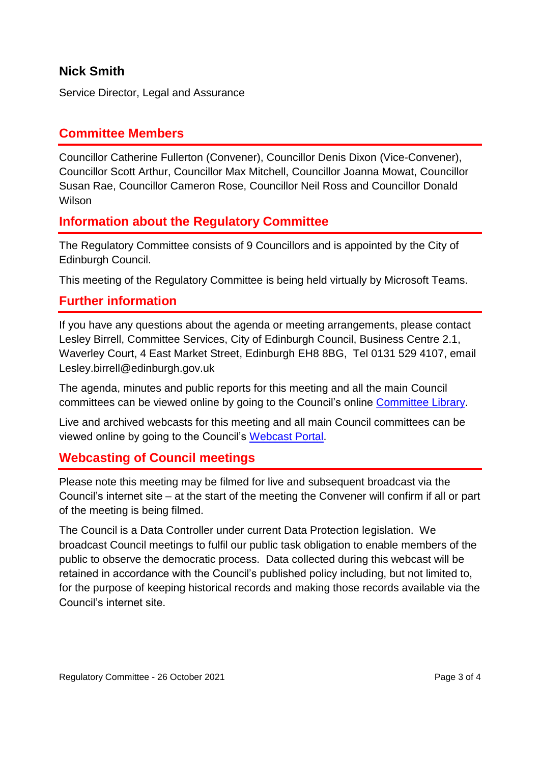# **Nick Smith**

Service Director, Legal and Assurance

# **Committee Members**

Councillor Catherine Fullerton (Convener), Councillor Denis Dixon (Vice-Convener), Councillor Scott Arthur, Councillor Max Mitchell, Councillor Joanna Mowat, Councillor Susan Rae, Councillor Cameron Rose, Councillor Neil Ross and Councillor Donald Wilson

#### **Information about the Regulatory Committee**

The Regulatory Committee consists of 9 Councillors and is appointed by the City of Edinburgh Council.

This meeting of the Regulatory Committee is being held virtually by Microsoft Teams.

#### **Further information**

If you have any questions about the agenda or meeting arrangements, please contact Lesley Birrell, Committee Services, City of Edinburgh Council, Business Centre 2.1, Waverley Court, 4 East Market Street, Edinburgh EH8 8BG, Tel 0131 529 4107, email Lesley.birrell@edinburgh.gov.uk

The agenda, minutes and public reports for this meeting and all the main Council committees can be viewed online by going to the Council's online [Committee Library.](https://democracy.edinburgh.gov.uk/ieDocHome.aspx?bcr=1)

Live and archived webcasts for this meeting and all main Council committees can be viewed online by going to the Council's [Webcast Portal.](https://edinburgh.public-i.tv/core/portal/home)

#### **Webcasting of Council meetings**

Please note this meeting may be filmed for live and subsequent broadcast via the Council's internet site – at the start of the meeting the Convener will confirm if all or part of the meeting is being filmed.

The Council is a Data Controller under current Data Protection legislation. We broadcast Council meetings to fulfil our public task obligation to enable members of the public to observe the democratic process. Data collected during this webcast will be retained in accordance with the Council's published policy including, but not limited to, for the purpose of keeping historical records and making those records available via the Council's internet site.